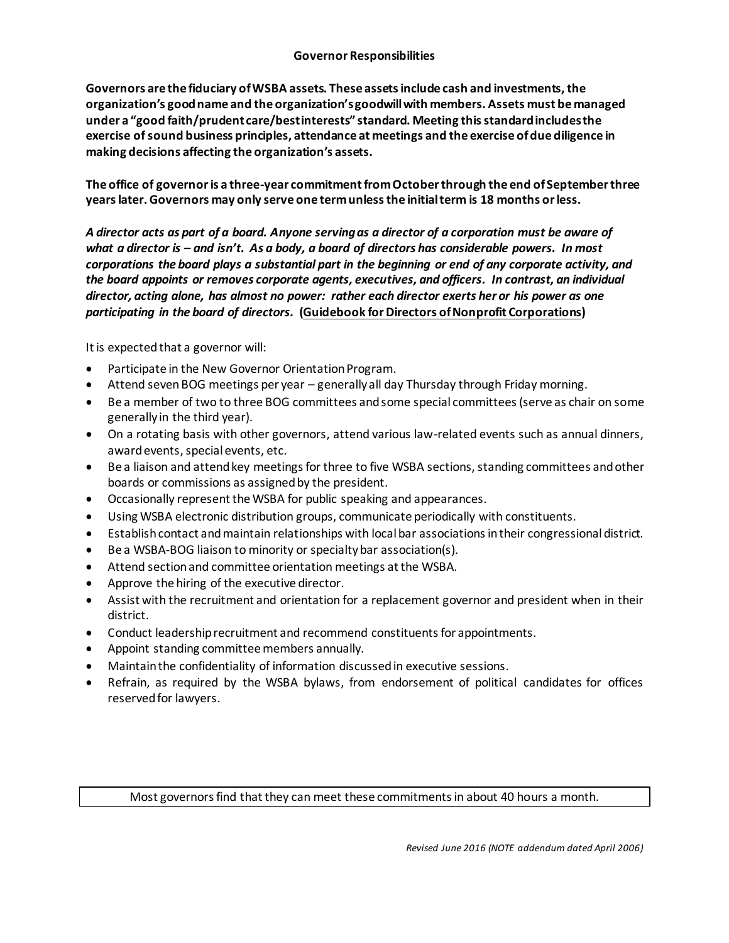**Governors are the fiduciary of WSBA assets. These assets include cash and investments, the organization's good name and the organization's goodwill with members. Assets must be managed under a "good faith/prudent care/best interests" standard. Meeting this standard includes the exercise of sound business principles, attendance at meetings and the exercise of due diligence in making decisions affecting the organization's assets.**

**The office of governor is a three-year commitment from October through the end of September three years later. Governors may only serve one term unless the initial term is 18 months or less.** 

*A director acts as part of a board. Anyone serving as a director of a corporation must be aware of what a director is – and isn't. As a body, a board of directors has considerable powers. In most corporations the board plays a substantial part in the beginning or end of any corporate activity, and the board appoints or removes corporate agents, executives, and officers. In contrast, an individual director, acting alone, has almost no power: rather each director exerts her or his power as one participating in the board of directors.* **(Guidebook for Directors of Nonprofit Corporations)**

It is expected that a governor will:

- Participate in the New Governor Orientation Program.
- Attend seven BOG meetings per year generally all day Thursday through Friday morning.
- Be a member of two to three BOG committees and some special committees (serve as chair on some generally in the third year).
- On a rotating basis with other governors, attend various law-related events such as annual dinners, award events, special events, etc.
- Be a liaison and attend key meetings for three to five WSBA sections, standing committees and other boards or commissions as assigned by the president.
- Occasionally represent the WSBA for public speaking and appearances.
- Using WSBA electronic distribution groups, communicate periodically with constituents.
- Establish contact and maintain relationships with local bar associations in their congressional district.
- Be a WSBA-BOG liaison to minority or specialty bar association(s).
- Attend section and committee orientation meetings at the WSBA.
- Approve the hiring of the executive director.
- Assist with the recruitment and orientation for a replacement governor and president when in their district.
- Conduct leadership recruitment and recommend constituents for appointments.
- Appoint standing committee members annually.
- Maintain the confidentiality of information discussed in executive sessions.
- Refrain, as required by the WSBA bylaws, from endorsement of political candidates for offices reserved for lawyers.

## Most governors find that they can meet these commitments in about 40 hours a month.